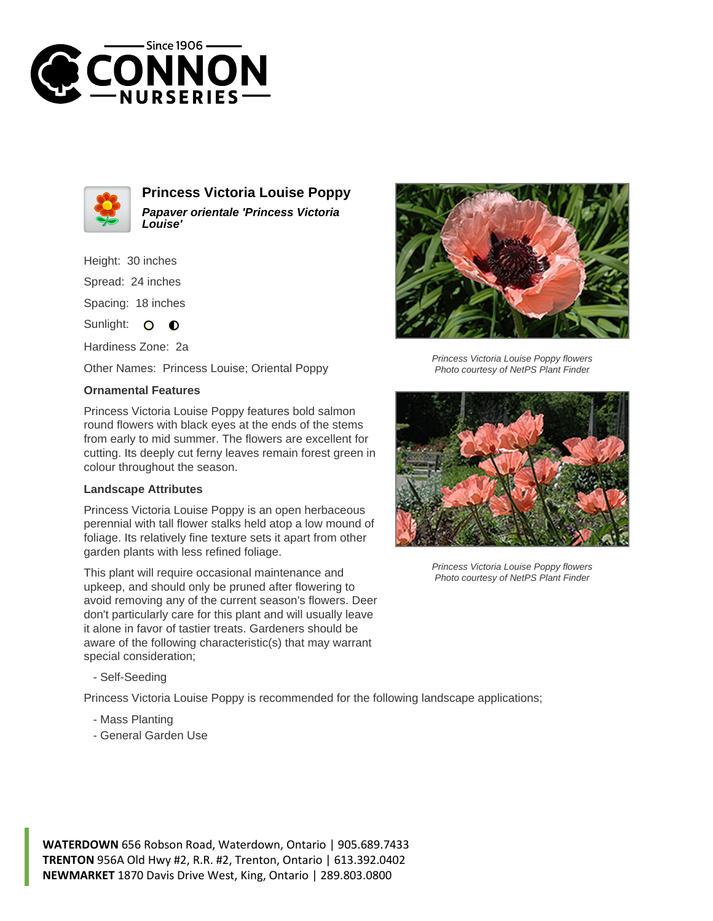



**Princess Victoria Louise Poppy Papaver orientale 'Princess Victoria Louise'**

Height: 30 inches Spread: 24 inches Spacing: 18 inches Sunlight: O **O** 

Hardiness Zone: 2a

Other Names: Princess Louise; Oriental Poppy

## **Ornamental Features**

Princess Victoria Louise Poppy features bold salmon round flowers with black eyes at the ends of the stems from early to mid summer. The flowers are excellent for cutting. Its deeply cut ferny leaves remain forest green in colour throughout the season.

## **Landscape Attributes**

Princess Victoria Louise Poppy is an open herbaceous perennial with tall flower stalks held atop a low mound of foliage. Its relatively fine texture sets it apart from other garden plants with less refined foliage.

This plant will require occasional maintenance and upkeep, and should only be pruned after flowering to avoid removing any of the current season's flowers. Deer don't particularly care for this plant and will usually leave it alone in favor of tastier treats. Gardeners should be aware of the following characteristic(s) that may warrant special consideration;

- Self-Seeding

Princess Victoria Louise Poppy is recommended for the following landscape applications;

- Mass Planting
- General Garden Use



Princess Victoria Louise Poppy flowers Photo courtesy of NetPS Plant Finder



Princess Victoria Louise Poppy flowers Photo courtesy of NetPS Plant Finder

**WATERDOWN** 656 Robson Road, Waterdown, Ontario | 905.689.7433 **TRENTON** 956A Old Hwy #2, R.R. #2, Trenton, Ontario | 613.392.0402 **NEWMARKET** 1870 Davis Drive West, King, Ontario | 289.803.0800